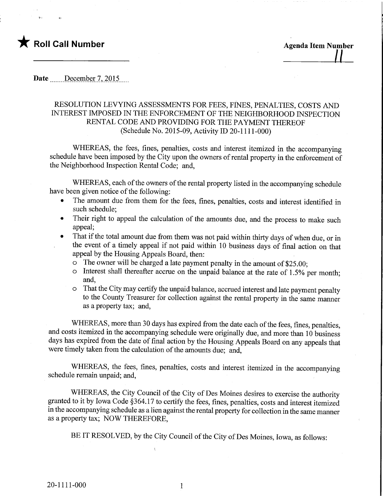

Date \_\_\_\_\_\_ December 7, 2015

## RESOLUTION LEVYING ASSESSMENTS FOR FEES, FINES, PENALTIES, COSTS AND INTEREST IMPOSED IN THE ENFORCEMENT OF THE NEIGHBORHOOD INSPECTION RENTAL CODE AND PROVIDING FOR THE PAYMENT THEREOF (Schedule No. 2015-09, Activity ID 20-1111-000)

WHEREAS, the fees, fines, penalties, costs and interest itemized in the accompanying schedule have been imposed by the City upon the owners of rental property in the enforcement of the Neighborhood Inspection Rental Code; and,

WHEREAS, each of the owners of the rental property listed in the accompanying schedule have been given notice of the following:

- The amount due from them for the fees, fines, penalties, costs and interest identified in such schedule;
- Their right to appeal the calculation of the amounts due, and the process to make such appeal;
- That if the total amount due from them was not paid within thirty days of when due, or in the event of a timely appeal if not paid within 10 business days of final action on that appeal by the Housing Appeals Board, then:
	- o The owner will be charged a late payment penalty in the amount of \$25.00;
	- $\circ$  Interest shall thereafter accrue on the unpaid balance at the rate of 1.5% per month; and,
	- o That the City may certify the unpaid balance, accmed interest and late payment penalty to the County Treasurer for collection against the rental property in the same manner as a property tax; and,

WHEREAS, more than 30 days has expired from the date each of the fees, fines, penalties, and costs itemized in the accompanying schedule were originally due, and more than 10 business days has expired from the date of final action by the Housing Appeals Board on any appeals that were timely taken from the calculation of the amounts due; and,

WHEREAS, the fees, fines, penalties, costs and interest itemized in the accompanying schedule remain unpaid; and,

WHEREAS, the City Council of the City of Des Moines desires to exercise the authority granted to it by Iowa Code §364.17 to certify the fees, fines, penalties, costs and interest itemized in the accompanying schedule as a lien against the rental property for collection in the same manner as a property tax; NOW THEREFORE,

BE IT RESOLVED, by the City Council of the City of Des Moines, Iowa, as follows:

 $\mathbf{1}$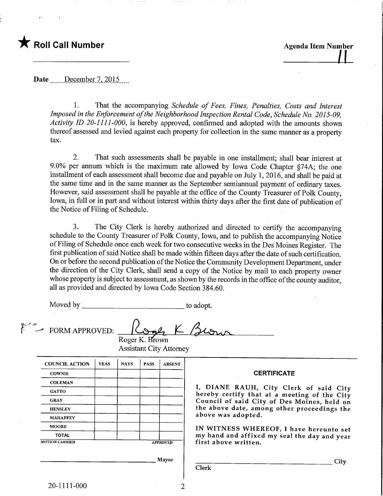## Roll Call Number Agenda Item Number

Date .......December 7, 2015.....

1. That the accompanying Schedule of Fees, Fines, Penalties, Costs and Interest Imposed in the Enforcement of the Neighborhood Inspection Rental Code, Schedule No. 2015-09, Activity ID 20-1111-000, is hereby approved, confirmed and adopted with the amounts shown thereof assessed and levied against each property for collection in the same manner as a property tax.

2. That such assessments shall be payable in one installment; shall bear interest at 9.0% per annum which is the maximum rate allowed by Iowa Code Chapter §74A; the one installment of each assessment shall become due and payable on July 1, 2016, and shall be paid at the same time and in the same manner as the September semiannual payment of ordinary taxes. However, said assessment shall be payable at the office of the County Treasurer of Polk County, Iowa, in full or in part and without interest within thirty days after the first date of publication of the Notice of Filing of Schedule.

3. The City Clerk is hereby authorized and directed to certify the accompanying schedule to the County Treasurer of Polk County, Iowa, and to publish the accompanying Notice of Filing of Schedule once each week for two consecutive weeks in the Des Moines Register. The first publication of said Notice shall be made within fifteen days after the date of such certification. On or before the second publication of the Notice the Community Development Department, under the direction of the City Clerk, shall send a copy of the Notice by mail to each property owner whose property is subject to assessment, as shown by the records in the office of the county auditor, all as provided and directed by Iowa Code Section 384.60.

 $\overline{\mathcal{L}}$ 

Moved by to adopt.

FORM APPROVED:

f  $\cdot$   $\circ$ 

| <b>YEAS</b>           | <b>NAYS</b> | <b>PASS</b> | <b>ABSENT</b>   |  |
|-----------------------|-------------|-------------|-----------------|--|
|                       |             |             |                 |  |
|                       |             |             |                 |  |
|                       |             |             |                 |  |
|                       |             |             |                 |  |
|                       |             |             |                 |  |
|                       |             |             |                 |  |
|                       |             |             |                 |  |
|                       |             |             |                 |  |
| <b>MOTION CARRIED</b> |             |             | <b>APPROVED</b> |  |
|                       |             |             |                 |  |

Roger K. Brown Assistant City Attorney

## **CERTIFICATE**

I, DIANE RAUH, City Clerk of said City hereby certify that at a meeting of the City Council of said City of Des Moines, held on the above date, among other proceedings the above was adopted.

IN WITNESS WHEREOF, I have hereunto set my hand and affixed my seal the day and year first above written.

Clerk

**City** 

 $\overline{2}$